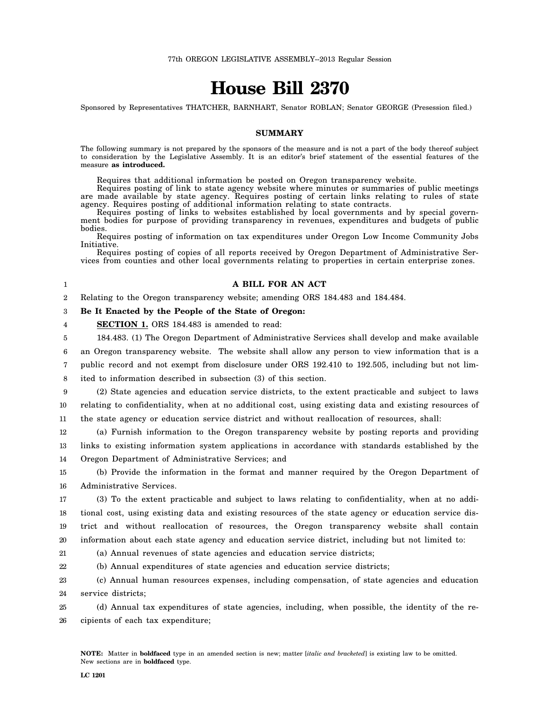# **House Bill 2370**

Sponsored by Representatives THATCHER, BARNHART, Senator ROBLAN; Senator GEORGE (Presession filed.)

# **SUMMARY**

The following summary is not prepared by the sponsors of the measure and is not a part of the body thereof subject to consideration by the Legislative Assembly. It is an editor's brief statement of the essential features of the measure **as introduced.**

Requires that additional information be posted on Oregon transparency website.

Requires posting of link to state agency website where minutes or summaries of public meetings are made available by state agency. Requires posting of certain links relating to rules of state agency. Requires posting of additional information relating to state contracts.

Requires posting of links to websites established by local governments and by special government bodies for purpose of providing transparency in revenues, expenditures and budgets of public bodies.

Requires posting of information on tax expenditures under Oregon Low Income Community Jobs Initiative.

Requires posting of copies of all reports received by Oregon Department of Administrative Services from counties and other local governments relating to properties in certain enterprise zones.

# **A BILL FOR AN ACT**

2 Relating to the Oregon transparency website; amending ORS 184.483 and 184.484.

#### 3 **Be It Enacted by the People of the State of Oregon:**

4 **SECTION 1.** ORS 184.483 is amended to read:

5 184.483. (1) The Oregon Department of Administrative Services shall develop and make available

6 an Oregon transparency website. The website shall allow any person to view information that is a

7 public record and not exempt from disclosure under ORS 192.410 to 192.505, including but not limited to information described in subsection (3) of this section.

8

9 10 11 (2) State agencies and education service districts, to the extent practicable and subject to laws relating to confidentiality, when at no additional cost, using existing data and existing resources of the state agency or education service district and without reallocation of resources, shall:

12 13 14 (a) Furnish information to the Oregon transparency website by posting reports and providing links to existing information system applications in accordance with standards established by the Oregon Department of Administrative Services; and

15 16 (b) Provide the information in the format and manner required by the Oregon Department of Administrative Services.

17 18 19 20 (3) To the extent practicable and subject to laws relating to confidentiality, when at no additional cost, using existing data and existing resources of the state agency or education service district and without reallocation of resources, the Oregon transparency website shall contain information about each state agency and education service district, including but not limited to:

21

(a) Annual revenues of state agencies and education service districts;

22 (b) Annual expenditures of state agencies and education service districts;

23 24 (c) Annual human resources expenses, including compensation, of state agencies and education service districts;

25 26 (d) Annual tax expenditures of state agencies, including, when possible, the identity of the recipients of each tax expenditure;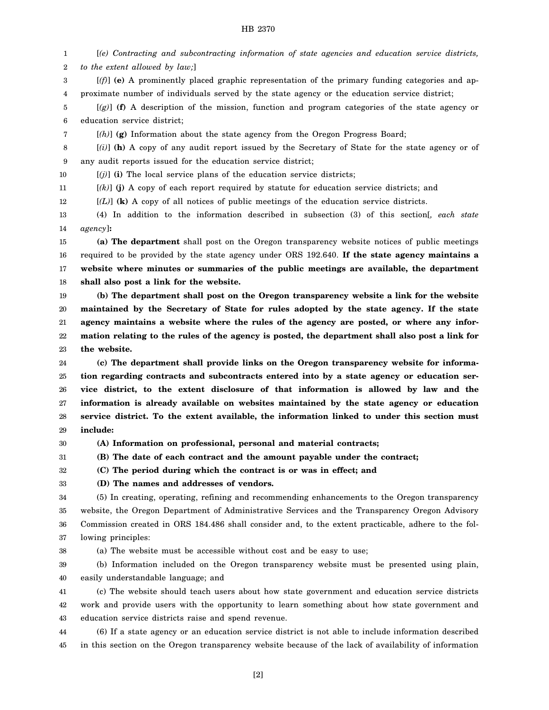# HB 2370

1 2 [*(e) Contracting and subcontracting information of state agencies and education service districts, to the extent allowed by law;*]

3 4 [*(f)*] **(e)** A prominently placed graphic representation of the primary funding categories and approximate number of individuals served by the state agency or the education service district;

5 6 [*(g)*] **(f)** A description of the mission, function and program categories of the state agency or education service district;

7

32

[*(h)*] **(g)** Information about the state agency from the Oregon Progress Board;

8 9 [*(i)*] **(h)** A copy of any audit report issued by the Secretary of State for the state agency or of any audit reports issued for the education service district;

10  $[(j)]$  (i) The local service plans of the education service districts;

11 [*(k)*] **(j)** A copy of each report required by statute for education service districts; and

12 [*(L)*] **(k)** A copy of all notices of public meetings of the education service districts.

13 14 (4) In addition to the information described in subsection (3) of this section[*, each state agency*]**:**

15 16 17 18 **(a) The department** shall post on the Oregon transparency website notices of public meetings required to be provided by the state agency under ORS 192.640. **If the state agency maintains a website where minutes or summaries of the public meetings are available, the department shall also post a link for the website.**

19 20 21 22 23 **(b) The department shall post on the Oregon transparency website a link for the website maintained by the Secretary of State for rules adopted by the state agency. If the state agency maintains a website where the rules of the agency are posted, or where any information relating to the rules of the agency is posted, the department shall also post a link for the website.**

24 25 26 27 28 29 **(c) The department shall provide links on the Oregon transparency website for information regarding contracts and subcontracts entered into by a state agency or education service district, to the extent disclosure of that information is allowed by law and the information is already available on websites maintained by the state agency or education service district. To the extent available, the information linked to under this section must include:**

30 **(A) Information on professional, personal and material contracts;**

31 **(B) The date of each contract and the amount payable under the contract;**

**(C) The period during which the contract is or was in effect; and**

33 **(D) The names and addresses of vendors.**

34 35 36 37 (5) In creating, operating, refining and recommending enhancements to the Oregon transparency website, the Oregon Department of Administrative Services and the Transparency Oregon Advisory Commission created in ORS 184.486 shall consider and, to the extent practicable, adhere to the following principles:

38 (a) The website must be accessible without cost and be easy to use;

39 40 (b) Information included on the Oregon transparency website must be presented using plain, easily understandable language; and

41 42 43 (c) The website should teach users about how state government and education service districts work and provide users with the opportunity to learn something about how state government and education service districts raise and spend revenue.

44 45 (6) If a state agency or an education service district is not able to include information described in this section on the Oregon transparency website because of the lack of availability of information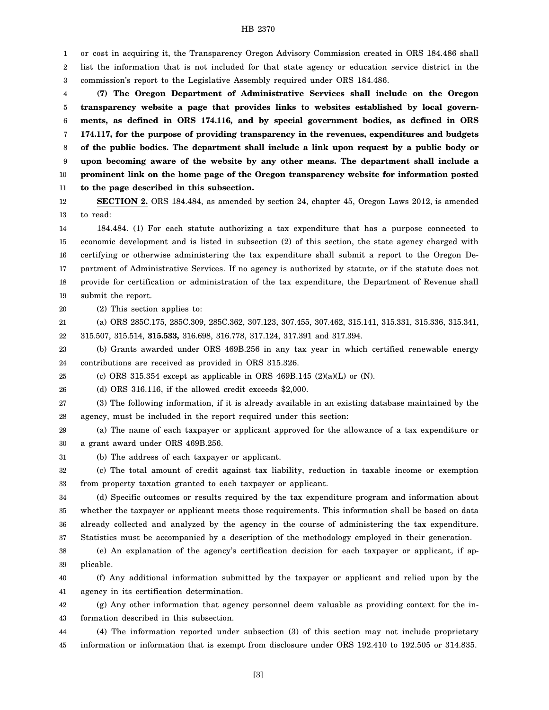## HB 2370

1 2 3 or cost in acquiring it, the Transparency Oregon Advisory Commission created in ORS 184.486 shall list the information that is not included for that state agency or education service district in the commission's report to the Legislative Assembly required under ORS 184.486.

4 5 6 7 8 9 10 11 **(7) The Oregon Department of Administrative Services shall include on the Oregon transparency website a page that provides links to websites established by local governments, as defined in ORS 174.116, and by special government bodies, as defined in ORS 174.117, for the purpose of providing transparency in the revenues, expenditures and budgets of the public bodies. The department shall include a link upon request by a public body or upon becoming aware of the website by any other means. The department shall include a prominent link on the home page of the Oregon transparency website for information posted to the page described in this subsection.**

12 13 **SECTION 2.** ORS 184.484, as amended by section 24, chapter 45, Oregon Laws 2012, is amended to read:

14 15 16 17 18 19 184.484. (1) For each statute authorizing a tax expenditure that has a purpose connected to economic development and is listed in subsection (2) of this section, the state agency charged with certifying or otherwise administering the tax expenditure shall submit a report to the Oregon Department of Administrative Services. If no agency is authorized by statute, or if the statute does not provide for certification or administration of the tax expenditure, the Department of Revenue shall submit the report.

20 (2) This section applies to:

21 22 (a) ORS 285C.175, 285C.309, 285C.362, 307.123, 307.455, 307.462, 315.141, 315.331, 315.336, 315.341, 315.507, 315.514, **315.533,** 316.698, 316.778, 317.124, 317.391 and 317.394.

23 24 (b) Grants awarded under ORS 469B.256 in any tax year in which certified renewable energy contributions are received as provided in ORS 315.326.

25 (c) ORS 315.354 except as applicable in ORS 469B.145  $(2)(a)(L)$  or  $(N)$ .

26 (d) ORS 316.116, if the allowed credit exceeds \$2,000.

27 28 (3) The following information, if it is already available in an existing database maintained by the agency, must be included in the report required under this section:

29 30 (a) The name of each taxpayer or applicant approved for the allowance of a tax expenditure or a grant award under ORS 469B.256.

31 (b) The address of each taxpayer or applicant.

32 33 (c) The total amount of credit against tax liability, reduction in taxable income or exemption from property taxation granted to each taxpayer or applicant.

34 35 36 37 (d) Specific outcomes or results required by the tax expenditure program and information about whether the taxpayer or applicant meets those requirements. This information shall be based on data already collected and analyzed by the agency in the course of administering the tax expenditure. Statistics must be accompanied by a description of the methodology employed in their generation.

38 39 (e) An explanation of the agency's certification decision for each taxpayer or applicant, if applicable.

40 41 (f) Any additional information submitted by the taxpayer or applicant and relied upon by the agency in its certification determination.

42 43 (g) Any other information that agency personnel deem valuable as providing context for the information described in this subsection.

44 45 (4) The information reported under subsection (3) of this section may not include proprietary information or information that is exempt from disclosure under ORS 192.410 to 192.505 or 314.835.